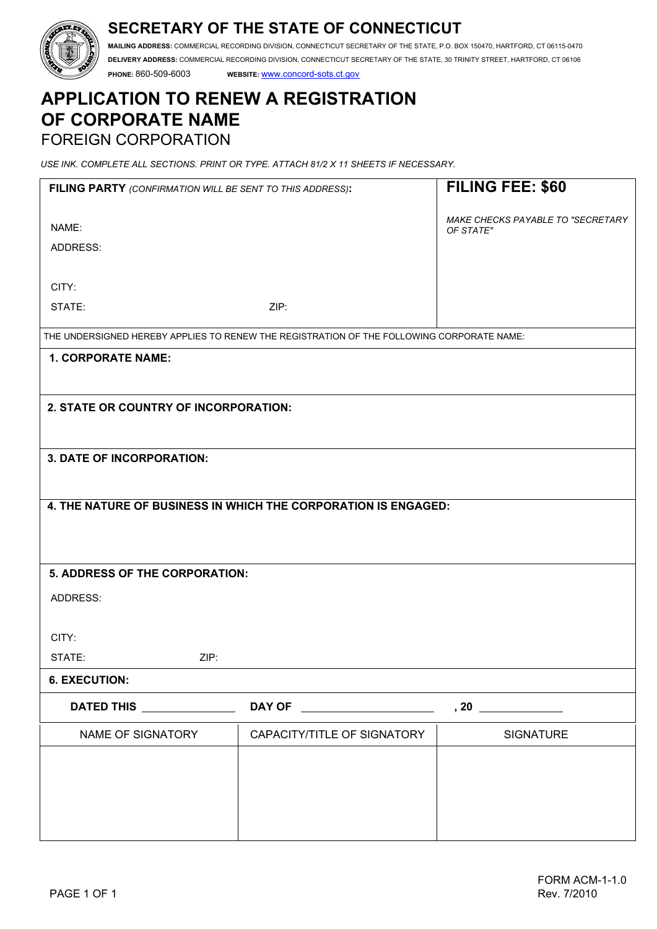# **SECRETARY OF THE STATE OF CONNECTICUT**



**MAILING ADDRESS:** COMMERCIAL RECORDING DIVISION, CONNECTICUT SECRETARY OF THE STATE, P.O. BOX 150470, HARTFORD, CT 06115-0470 **DELIVERY ADDRESS:** COMMERCIAL RECORDING DIVISION, CONNECTICUT SECRETARY OF THE STATE, 30 TRINITY STREET, HARTFORD, CT 06106 **PHONE:** 860-509-6003 **WEBSITE:** www.concord-sots.ct.gov

**APPLICATION TO RENEW A REGISTRATION OF CORPORATE NAME**  FOREIGN CORPORATION

*USE INK. COMPLETE ALL SECTIONS. PRINT OR TYPE. ATTACH 81/2 X 11 SHEETS IF NECESSARY.*

| FILING PARTY (CONFIRMATION WILL BE SENT TO THIS ADDRESS):                                 |                                                                    | FILING FEE: \$60                  |
|-------------------------------------------------------------------------------------------|--------------------------------------------------------------------|-----------------------------------|
|                                                                                           |                                                                    | MAKE CHECKS PAYABLE TO "SECRETARY |
| NAME:                                                                                     |                                                                    | OF STATE"                         |
| ADDRESS:                                                                                  |                                                                    |                                   |
|                                                                                           |                                                                    |                                   |
| CITY:                                                                                     |                                                                    |                                   |
| STATE:                                                                                    | ZIP:                                                               |                                   |
| THE UNDERSIGNED HEREBY APPLIES TO RENEW THE REGISTRATION OF THE FOLLOWING CORPORATE NAME: |                                                                    |                                   |
| <b>1. CORPORATE NAME:</b>                                                                 |                                                                    |                                   |
|                                                                                           |                                                                    |                                   |
| 2. STATE OR COUNTRY OF INCORPORATION:                                                     |                                                                    |                                   |
|                                                                                           |                                                                    |                                   |
| 3. DATE OF INCORPORATION:                                                                 |                                                                    |                                   |
|                                                                                           |                                                                    |                                   |
|                                                                                           |                                                                    |                                   |
| 4. THE NATURE OF BUSINESS IN WHICH THE CORPORATION IS ENGAGED:                            |                                                                    |                                   |
|                                                                                           |                                                                    |                                   |
|                                                                                           |                                                                    |                                   |
| 5. ADDRESS OF THE CORPORATION:                                                            |                                                                    |                                   |
| ADDRESS:                                                                                  |                                                                    |                                   |
|                                                                                           |                                                                    |                                   |
| CITY:                                                                                     |                                                                    |                                   |
| STATE:<br>ZIP:                                                                            |                                                                    |                                   |
| <b>6. EXECUTION:</b>                                                                      |                                                                    |                                   |
| DATED THIS _______________                                                                | DAY OF PARTICULAR PRODUCTS AND THE RESERVE OF PARTICULAR PRODUCTS. |                                   |
| NAME OF SIGNATORY                                                                         | CAPACITY/TITLE OF SIGNATORY                                        | <b>SIGNATURE</b>                  |
|                                                                                           |                                                                    |                                   |
|                                                                                           |                                                                    |                                   |
|                                                                                           |                                                                    |                                   |
|                                                                                           |                                                                    |                                   |
|                                                                                           |                                                                    |                                   |